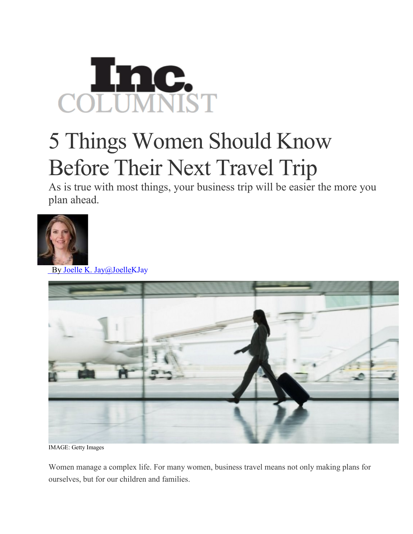

## 5 Things Women Should Know Before Their Next Travel Trip

As is true with most things, your business trip will be easier the more you plan ahead.



By Joelle K. [Jay@JoelleKJay](http://www.inc.com/author/joelle-k-jay)



IMAGE: Getty Images

Women manage a complex life. For many women, business travel means not only making plans for ourselves, but for our children and families.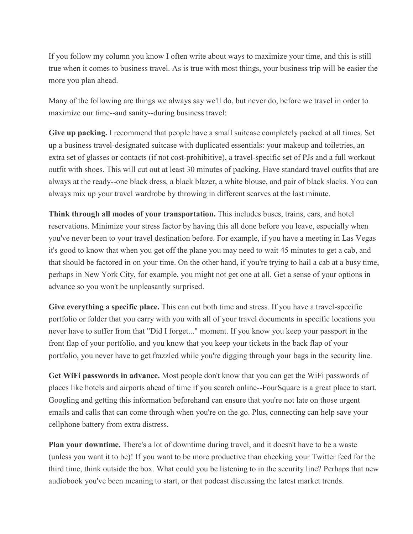If you follow my column you know I often write about ways to maximize your time, and this is still true when it comes to business travel. As is true with most things, your business trip will be easier the more you plan ahead.

Many of the following are things we always say we'll do, but never do, before we travel in order to maximize our time--and sanity--during business travel:

**Give up packing.** I recommend that people have a small suitcase completely packed at all times. Set up a business travel-designated suitcase with duplicated essentials: your makeup and toiletries, an extra set of glasses or contacts (if not cost-prohibitive), a travel-specific set of PJs and a full workout outfit with shoes. This will cut out at least 30 minutes of packing. Have standard travel outfits that are always at the ready--one black dress, a black blazer, a white blouse, and pair of black slacks. You can always mix up your travel wardrobe by throwing in different scarves at the last minute.

**Think through all modes of your transportation.** This includes buses, trains, cars, and hotel reservations. Minimize your stress factor by having this all done before you leave, especially when you've never been to your travel destination before. For example, if you have a meeting in Las Vegas it's good to know that when you get off the plane you may need to wait 45 minutes to get a cab, and that should be factored in on your time. On the other hand, if you're trying to hail a cab at a busy time, perhaps in New York City, for example, you might not get one at all. Get a sense of your options in advance so you won't be unpleasantly surprised.

**Give everything a specific place.** This can cut both time and stress. If you have a travel-specific portfolio or folder that you carry with you with all of your travel documents in specific locations you never have to suffer from that "Did I forget..." moment. If you know you keep your passport in the front flap of your portfolio, and you know that you keep your tickets in the back flap of your portfolio, you never have to get frazzled while you're digging through your bags in the security line.

**Get WiFi passwords in advance.** Most people don't know that you can get the WiFi passwords of places like hotels and airports ahead of time if you search online--FourSquare is a great place to start. Googling and getting this information beforehand can ensure that you're not late on those urgent emails and calls that can come through when you're on the go. Plus, connecting can help save your cellphone battery from extra distress.

**Plan your downtime.** There's a lot of downtime during travel, and it doesn't have to be a waste (unless you want it to be)! If you want to be more productive than checking your Twitter feed for the third time, think outside the box. What could you be listening to in the security line? Perhaps that new audiobook you've been meaning to start, or that podcast discussing the latest market trends.